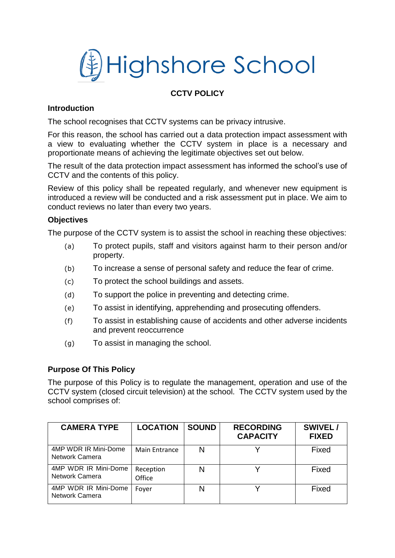# 线 Highshore School

# **CCTV POLICY**

### **Introduction**

The school recognises that CCTV systems can be privacy intrusive.

For this reason, the school has carried out a data protection impact assessment with a view to evaluating whether the CCTV system in place is a necessary and proportionate means of achieving the legitimate objectives set out below.

The result of the data protection impact assessment has informed the school's use of CCTV and the contents of this policy.

Review of this policy shall be repeated regularly, and whenever new equipment is introduced a review will be conducted and a risk assessment put in place. We aim to conduct reviews no later than every two years.

#### **Objectives**

The purpose of the CCTV system is to assist the school in reaching these objectives:

- (a) To protect pupils, staff and visitors against harm to their person and/or property.
- (b) To increase a sense of personal safety and reduce the fear of crime.
- (c) To protect the school buildings and assets.
- (d) To support the police in preventing and detecting crime.
- (e) To assist in identifying, apprehending and prosecuting offenders.
- (f) To assist in establishing cause of accidents and other adverse incidents and prevent reoccurrence
- (g) To assist in managing the school.

#### **Purpose Of This Policy**

The purpose of this Policy is to regulate the management, operation and use of the CCTV system (closed circuit television) at the school. The CCTV system used by the school comprises of:

| <b>CAMERA TYPE</b>                     | <b>LOCATION</b>     | <b>SOUND</b> | <b>RECORDING</b><br><b>CAPACITY</b> | SWIVEL/<br><b>FIXED</b> |
|----------------------------------------|---------------------|--------------|-------------------------------------|-------------------------|
| 4MP WDR IR Mini-Dome<br>Network Camera | Main Entrance       | N            |                                     | Fixed                   |
| 4MP WDR IR Mini-Dome<br>Network Camera | Reception<br>Office | N            |                                     | Fixed                   |
| 4MP WDR IR Mini-Dome<br>Network Camera | Foyer               | N            |                                     | Fixed                   |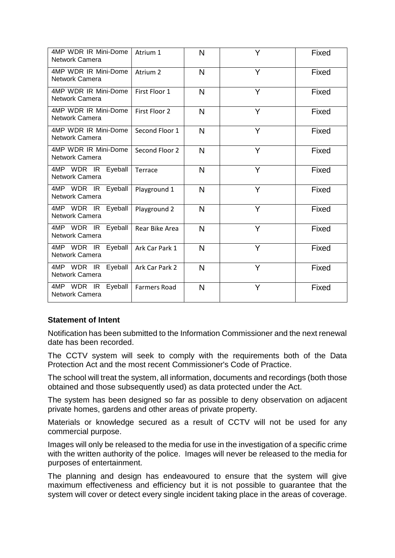| 4MP WDR IR Mini-Dome<br>Network Camera         | Atrium 1            | N | Y | Fixed |
|------------------------------------------------|---------------------|---|---|-------|
| 4MP WDR IR Mini-Dome<br><b>Network Camera</b>  | Atrium 2            | N | Y | Fixed |
| 4MP WDR IR Mini-Dome<br>Network Camera         | First Floor 1       | N | Y | Fixed |
| 4MP WDR IR Mini-Dome<br><b>Network Camera</b>  | First Floor 2       | N | Y | Fixed |
| 4MP WDR IR Mini-Dome<br><b>Network Camera</b>  | Second Floor 1      | N | Y | Fixed |
| 4MP WDR IR Mini-Dome<br><b>Network Camera</b>  | Second Floor 2      | N | Y | Fixed |
| 4MP WDR IR Eyeball<br><b>Network Camera</b>    | Terrace             | N | Y | Fixed |
| 4MP WDR IR Eyeball<br><b>Network Camera</b>    | Playground 1        | N | Y | Fixed |
| 4MP WDR IR Eyeball<br>Network Camera           | Playground 2        | N | Y | Fixed |
| 4MP WDR IR Eyeball<br>Network Camera           | Rear Bike Area      | N | Y | Fixed |
| 4MP WDR IR<br>Eyeball<br><b>Network Camera</b> | Ark Car Park 1      | N | Y | Fixed |
| 4MP WDR IR<br>Eyeball<br>Network Camera        | Ark Car Park 2      | N | Y | Fixed |
| 4MP WDR IR<br>Eyeball<br>Network Camera        | <b>Farmers Road</b> | N | Y | Fixed |

## **Statement of Intent**

Notification has been submitted to the Information Commissioner and the next renewal date has been recorded.

The CCTV system will seek to comply with the requirements both of the Data Protection Act and the most recent Commissioner's Code of Practice.

The school will treat the system, all information, documents and recordings (both those obtained and those subsequently used) as data protected under the Act.

The system has been designed so far as possible to deny observation on adjacent private homes, gardens and other areas of private property.

Materials or knowledge secured as a result of CCTV will not be used for any commercial purpose.

Images will only be released to the media for use in the investigation of a specific crime with the written authority of the police. Images will never be released to the media for purposes of entertainment.

The planning and design has endeavoured to ensure that the system will give maximum effectiveness and efficiency but it is not possible to guarantee that the system will cover or detect every single incident taking place in the areas of coverage.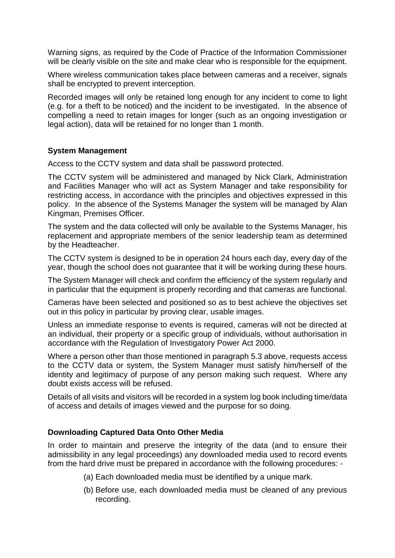Warning signs, as required by the Code of Practice of the Information Commissioner will be clearly visible on the site and make clear who is responsible for the equipment.

Where wireless communication takes place between cameras and a receiver, signals shall be encrypted to prevent interception.

Recorded images will only be retained long enough for any incident to come to light (e.g. for a theft to be noticed) and the incident to be investigated. In the absence of compelling a need to retain images for longer (such as an ongoing investigation or legal action), data will be retained for no longer than 1 month.

#### **System Management**

Access to the CCTV system and data shall be password protected.

The CCTV system will be administered and managed by Nick Clark, Administration and Facilities Manager who will act as System Manager and take responsibility for restricting access, in accordance with the principles and objectives expressed in this policy. In the absence of the Systems Manager the system will be managed by Alan Kingman, Premises Officer.

The system and the data collected will only be available to the Systems Manager, his replacement and appropriate members of the senior leadership team as determined by the Headteacher.

The CCTV system is designed to be in operation 24 hours each day, every day of the year, though the school does not guarantee that it will be working during these hours.

The System Manager will check and confirm the efficiency of the system regularly and in particular that the equipment is properly recording and that cameras are functional.

Cameras have been selected and positioned so as to best achieve the objectives set out in this policy in particular by proving clear, usable images.

Unless an immediate response to events is required, cameras will not be directed at an individual, their property or a specific group of individuals, without authorisation in accordance with the Regulation of Investigatory Power Act 2000.

Where a person other than those mentioned in paragraph 5.3 above, requests access to the CCTV data or system, the System Manager must satisfy him/herself of the identity and legitimacy of purpose of any person making such request. Where any doubt exists access will be refused.

Details of all visits and visitors will be recorded in a system log book including time/data of access and details of images viewed and the purpose for so doing.

#### **Downloading Captured Data Onto Other Media**

In order to maintain and preserve the integrity of the data (and to ensure their admissibility in any legal proceedings) any downloaded media used to record events from the hard drive must be prepared in accordance with the following procedures: -

- (a) Each downloaded media must be identified by a unique mark.
- (b) Before use, each downloaded media must be cleaned of any previous recording.